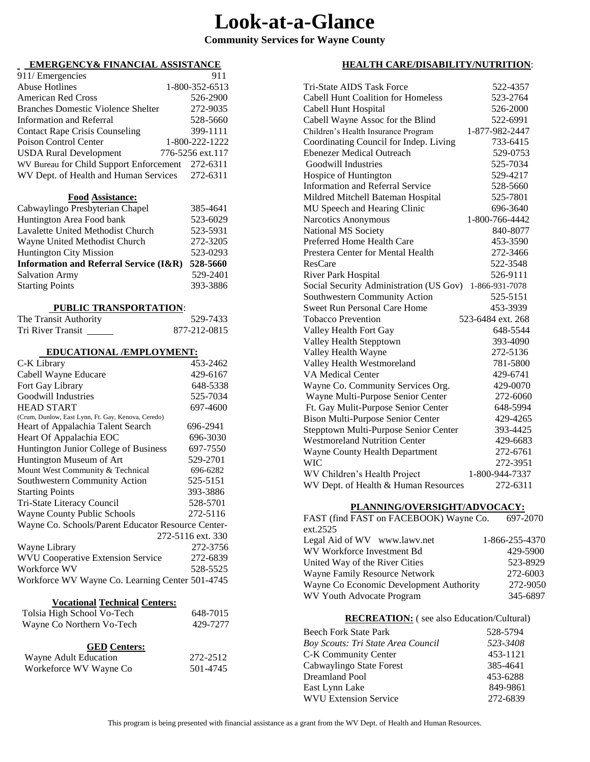# **Look-at-a-Glance**

## **Community Services for Wayne County**

### **EMERGENCY& FINANCIAL ASSISTANCE**

| 911/ Emergencies                                 | 911              |
|--------------------------------------------------|------------------|
| <b>Abuse Hotlines</b>                            | 1-800-352-6513   |
| <b>American Red Cross</b>                        | 526-2900         |
| <b>Branches Domestic Violence Shelter</b>        | 272-9035         |
| Information and Referral                         | 528-5660         |
| <b>Contact Rape Crisis Counseling</b>            | 399-1111         |
| Poison Control Center                            | 1-800-222-1222   |
| <b>USDA Rural Development</b>                    | 776-5256 ext.117 |
| WV Bureau for Child Support Enforcement 272-6311 |                  |
| WV Dept. of Health and Human Services 272-6311   |                  |

#### **Food Assistance:**

| Cabwaylingo Presbyterian Chapel                   | 385-4641 |
|---------------------------------------------------|----------|
| Huntington Area Food bank                         | 523-6029 |
| Lavalette United Methodist Church                 | 523-5931 |
| Wayne United Methodist Church                     | 272-3205 |
| <b>Huntington City Mission</b>                    | 523-0293 |
| <b>Information and Referral Service (I&amp;R)</b> | 528-5660 |
| <b>Salvation Army</b>                             | 529-2401 |
| <b>Starting Points</b>                            | 393-3886 |
|                                                   |          |

#### **PUBLIC TRANSPORTATION**:

| The Transit Authority | 529-7433     |
|-----------------------|--------------|
| Tri River Transit     | 877-212-0815 |

#### **EDUCATIONAL /EMPLOYMENT:**

| C-K Library                                        | 453-2462          |
|----------------------------------------------------|-------------------|
| Cabell Wayne Educare                               | 429-6167          |
| Fort Gay Library                                   | 648-5338          |
| Goodwill Industries                                | 525-7034          |
| <b>HEAD START</b>                                  | 697-4600          |
| (Crum, Dunlow, East Lynn, Ft. Gay, Kenova, Ceredo) |                   |
| Heart of Appalachia Talent Search                  | 696-2941          |
| Heart Of Appalachia EOC                            | 696-3030          |
| Huntington Junior College of Business              | 697-7550          |
| Huntington Museum of Art                           | 529-2701          |
| Mount West Community & Technical                   | 696-6282          |
| Southwestern Community Action                      | 525-5151          |
| <b>Starting Points</b>                             | 393-3886          |
| Tri-State Literacy Council                         | 528-5701          |
| <b>Wayne County Public Schools</b>                 | 272-5116          |
| Wayne Co. Schools/Parent Educator Resource Center- |                   |
|                                                    | 272-5116 ext. 330 |
| Wayne Library                                      | 272-3756          |
| <b>WVU Cooperative Extension Service</b>           | 272-6839          |
| Workforce WV                                       | 528-5525          |
| Workforce WV Wayne Co. Learning Center 501-4745    |                   |
|                                                    |                   |

#### **Vocational Technical Centers:**

| Tolsia High School Vo-Tech | 648-7015 |
|----------------------------|----------|
| Wayne Co Northern Vo-Tech  | 429-7277 |

#### **GED Centers:**

| Wayne Adult Education  | 272-2512 |
|------------------------|----------|
| Workeforce WV Wayne Co | 501-4745 |

#### **HEALTH CARE/DISABILITY/NUTRITION**:

| <b>Tri-State AIDS Task Force</b>          | 522-4357          |
|-------------------------------------------|-------------------|
| <b>Cabell Hunt Coalition for Homeless</b> | 523-2764          |
| Cabell Hunt Hospital                      | 526-2000          |
| Cabell Wayne Assoc for the Blind          | 522-6991          |
| Children's Health Insurance Program       | 1-877-982-2447    |
| Coordinating Council for Indep. Living    | 733-6415          |
| <b>Ebenezer Medical Outreach</b>          | 529-0753          |
| Goodwill Industries                       | 525-7034          |
| Hospice of Huntington                     | 529-4217          |
| <b>Information and Referral Service</b>   | 528-5660          |
| Mildred Mitchell Bateman Hospital         | 525-7801          |
| MU Speech and Hearing Clinic              | 696-3640          |
| Narcotics Anonymous                       | 1-800-766-4442    |
| National MS Society                       | 840-8077          |
| Preferred Home Health Care                | 453-3590          |
| Prestera Center for Mental Health         | 272-3466          |
| <b>ResCare</b>                            | 522-3548          |
| <b>River Park Hospital</b>                | 526-9111          |
| Social Security Administration (US Gov)   | 1-866-931-7078    |
| Southwestern Community Action             | 525-5151          |
| <b>Sweet Run Personal Care Home</b>       | 453-3939          |
| <b>Tobacco Prevention</b>                 | 523-6484 ext. 268 |
| Valley Health Fort Gay                    | 648-5544          |
| Valley Health Stepptown                   | 393-4090          |
| Valley Health Wayne                       | 272-5136          |
| Valley Health Westmoreland                | 781-5800          |
| <b>VA Medical Center</b>                  | 429-6741          |
| Wayne Co. Community Services Org.         | 429-0070          |
| Wayne Multi-Purpose Senior Center         | 272-6060          |
| Ft. Gay Mulit-Purpose Senior Center       | 648-5994          |
| <b>Bison Multi-Purpose Senior Center</b>  | 429-4265          |
| Stepptown Multi-Purpose Senior Center     | 393-4425          |
| <b>Westmoreland Nutrition Center</b>      | 429-6683          |
| Wayne County Health Department            | 272-6761          |
| <b>WIC</b>                                | 272-3951          |
| WV Children's Health Project              | 1-800-944-7337    |
| WV Dept. of Health & Human Resources      | 272-6311          |

#### **PLANNING/OVERSIGHT/ADVOCACY:**

| FAST (find FAST on FACEBOOK) Wayne Co.  | 697-2070       |
|-----------------------------------------|----------------|
| ext.2525                                |                |
| Legal Aid of WV www.lawv.net            | 1-866-255-4370 |
| WV Workforce Investment Bd              | 429-5900       |
| United Way of the River Cities          | 523-8929       |
| Wayne Family Resource Network           | 272-6003       |
| Wayne Co Economic Development Authority | 272-9050       |
| WV Youth Advocate Program               | 345-6897       |

#### **RECREATION:** ( see also Education/Cultural)

| Beech Fork State Park              | 528-5794 |
|------------------------------------|----------|
| Boy Scouts: Tri State Area Council | 523-3408 |
| <b>C-K Community Center</b>        | 453-1121 |
| Cabwaylingo State Forest           | 385-4641 |
| Dreamland Pool                     | 453-6288 |
| East Lynn Lake                     | 849-9861 |
| <b>WVU Extension Service</b>       | 272-6839 |